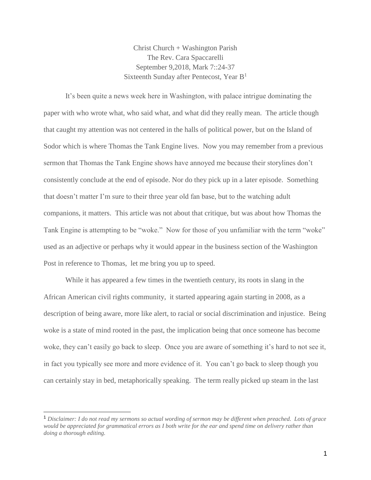Christ Church + Washington Parish The Rev. Cara Spaccarelli September 9,2018, Mark 7::24-37 Sixteenth Sunday after Pentecost, Year B<sup>1</sup>

It's been quite a news week here in Washington, with palace intrigue dominating the paper with who wrote what, who said what, and what did they really mean. The article though that caught my attention was not centered in the halls of political power, but on the Island of Sodor which is where Thomas the Tank Engine lives. Now you may remember from a previous sermon that Thomas the Tank Engine shows have annoyed me because their storylines don't consistently conclude at the end of episode. Nor do they pick up in a later episode. Something that doesn't matter I'm sure to their three year old fan base, but to the watching adult companions, it matters. This article was not about that critique, but was about how Thomas the Tank Engine is attempting to be "woke." Now for those of you unfamiliar with the term "woke" used as an adjective or perhaps why it would appear in the business section of the Washington Post in reference to Thomas, let me bring you up to speed.

While it has appeared a few times in the twentieth century, its roots in slang in the African American civil rights community, it started appearing again starting in 2008, as a description of being aware, more like alert, to racial or social discrimination and injustice. Being woke is a state of mind rooted in the past, the implication being that once someone has become woke, they can't easily go back to sleep. Once you are aware of something it's hard to not see it, in fact you typically see more and more evidence of it. You can't go back to sleep though you can certainly stay in bed, metaphorically speaking. The term really picked up steam in the last

<sup>1</sup> *Disclaimer: I do not read my sermons so actual wording of sermon may be different when preached. Lots of grace would be appreciated for grammatical errors as I both write for the ear and spend time on delivery rather than doing a thorough editing.*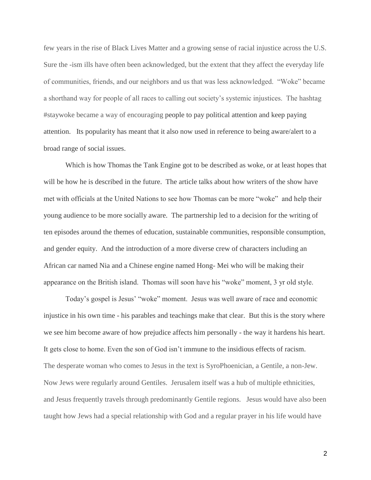few years in the rise of Black Lives Matter and a growing sense of racial injustice across the U.S. Sure the -ism ills have often been acknowledged, but the extent that they affect the everyday life of communities, friends, and our neighbors and us that was less acknowledged. "Woke" became a shorthand way for people of all races to calling out society's systemic injustices. The hashtag #staywoke became a way of encouraging people to pay political attention and keep paying attention. Its popularity has meant that it also now used in reference to being aware/alert to a broad range of social issues.

Which is how Thomas the Tank Engine got to be described as woke, or at least hopes that will be how he is described in the future. The article talks about how writers of the show have met with officials at the United Nations to see how Thomas can be more "woke" and help their young audience to be more socially aware. The partnership led to a decision for the writing of ten episodes around the themes of education, sustainable communities, responsible consumption, and gender equity. And the introduction of a more diverse crew of characters including an African car named Nia and a Chinese engine named Hong- Mei who will be making their appearance on the British island. Thomas will soon have his "woke" moment, 3 yr old style.

Today's gospel is Jesus' "woke" moment. Jesus was well aware of race and economic injustice in his own time - his parables and teachings make that clear. But this is the story where we see him become aware of how prejudice affects him personally - the way it hardens his heart. It gets close to home. Even the son of God isn't immune to the insidious effects of racism. The desperate woman who comes to Jesus in the text is SyroPhoenician, a Gentile, a non-Jew. Now Jews were regularly around Gentiles. Jerusalem itself was a hub of multiple ethnicities, and Jesus frequently travels through predominantly Gentile regions. Jesus would have also been taught how Jews had a special relationship with God and a regular prayer in his life would have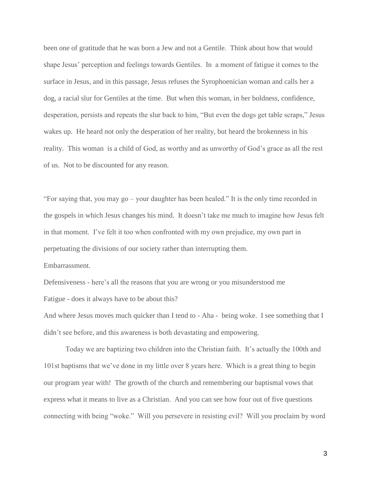been one of gratitude that he was born a Jew and not a Gentile. Think about how that would shape Jesus' perception and feelings towards Gentiles. In a moment of fatigue it comes to the surface in Jesus, and in this passage, Jesus refuses the Syrophoenician woman and calls her a dog, a racial slur for Gentiles at the time. But when this woman, in her boldness, confidence, desperation, persists and repeats the slur back to him, "But even the dogs get table scraps," Jesus wakes up. He heard not only the desperation of her reality, but heard the brokenness in his reality. This woman is a child of God, as worthy and as unworthy of God's grace as all the rest of us. Not to be discounted for any reason.

"For saying that, you may go – your daughter has been healed." It is the only time recorded in the gospels in which Jesus changes his mind. It doesn't take me much to imagine how Jesus felt in that moment. I've felt it too when confronted with my own prejudice, my own part in perpetuating the divisions of our society rather than interrupting them. Embarrassment.

Defensiveness - here's all the reasons that you are wrong or you misunderstood me Fatigue - does it always have to be about this?

And where Jesus moves much quicker than I tend to - Aha - being woke. I see something that I didn't see before, and this awareness is both devastating and empowering.

Today we are baptizing two children into the Christian faith. It's actually the 100th and 101st baptisms that we've done in my little over 8 years here. Which is a great thing to begin our program year with! The growth of the church and remembering our baptismal vows that express what it means to live as a Christian. And you can see how four out of five questions connecting with being "woke." Will you persevere in resisting evil? Will you proclaim by word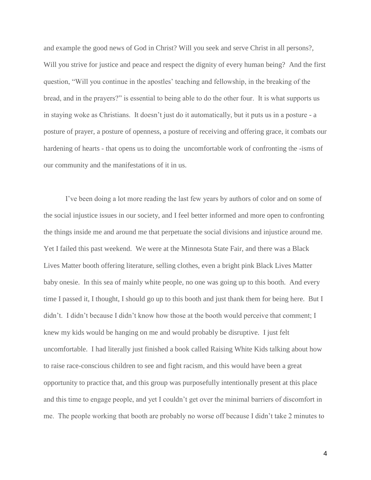and example the good news of God in Christ? Will you seek and serve Christ in all persons?, Will you strive for justice and peace and respect the dignity of every human being? And the first question, "Will you continue in the apostles' teaching and fellowship, in the breaking of the bread, and in the prayers?" is essential to being able to do the other four. It is what supports us in staying woke as Christians. It doesn't just do it automatically, but it puts us in a posture - a posture of prayer, a posture of openness, a posture of receiving and offering grace, it combats our hardening of hearts - that opens us to doing the uncomfortable work of confronting the -isms of our community and the manifestations of it in us.

I've been doing a lot more reading the last few years by authors of color and on some of the social injustice issues in our society, and I feel better informed and more open to confronting the things inside me and around me that perpetuate the social divisions and injustice around me. Yet I failed this past weekend. We were at the Minnesota State Fair, and there was a Black Lives Matter booth offering literature, selling clothes, even a bright pink Black Lives Matter baby onesie. In this sea of mainly white people, no one was going up to this booth. And every time I passed it, I thought, I should go up to this booth and just thank them for being here. But I didn't. I didn't because I didn't know how those at the booth would perceive that comment; I knew my kids would be hanging on me and would probably be disruptive. I just felt uncomfortable. I had literally just finished a book called Raising White Kids talking about how to raise race-conscious children to see and fight racism, and this would have been a great opportunity to practice that, and this group was purposefully intentionally present at this place and this time to engage people, and yet I couldn't get over the minimal barriers of discomfort in me. The people working that booth are probably no worse off because I didn't take 2 minutes to